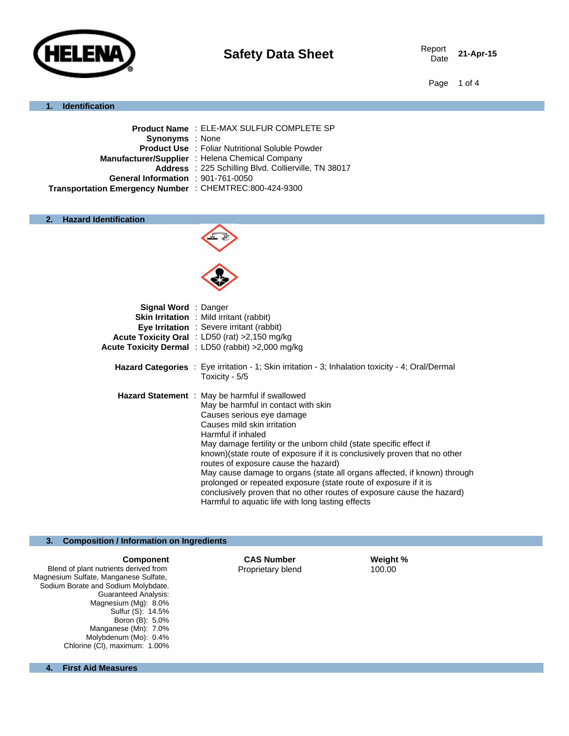

Date **21-Apr-15**

Page 1 of 4

#### **1. Identification**

| <b>Product Name : ELE-MAX SULFUR COMPLETE SP</b>        |
|---------------------------------------------------------|
| <b>Synonyms</b> : None                                  |
| <b>Product Use : Foliar Nutritional Soluble Powder</b>  |
| Manufacturer/Supplier : Helena Chemical Company         |
| Address : 225 Schilling Blvd. Collierville, TN 38017    |
| General Information : 901-761-0050                      |
| Transportation Emergency Number : CHEMTREC:800-424-9300 |
|                                                         |

#### **2. Hazard Identification**



| Signal Word : Danger | <b>Skin Irritation</b> : Mild irritant (rabbit)<br><b>Eye Irritation</b> : Severe irritant (rabbit)<br>Acute Toxicity Oral : LD50 (rat) >2,150 mg/kg<br>Acute Toxicity Dermal : LD50 (rabbit) > 2,000 mg/kg                                                                                                                                                                                                                                                                                                                                                                                                                                              |
|----------------------|----------------------------------------------------------------------------------------------------------------------------------------------------------------------------------------------------------------------------------------------------------------------------------------------------------------------------------------------------------------------------------------------------------------------------------------------------------------------------------------------------------------------------------------------------------------------------------------------------------------------------------------------------------|
|                      | <b>Hazard Categories</b> : Eye irritation - 1; Skin irritation - 3; Inhalation toxicity - 4; Oral/Dermal<br>Toxicity - 5/5                                                                                                                                                                                                                                                                                                                                                                                                                                                                                                                               |
|                      | <b>Hazard Statement</b> : May be harmful if swallowed<br>May be harmful in contact with skin<br>Causes serious eye damage<br>Causes mild skin irritation<br>Harmful if inhaled<br>May damage fertility or the unborn child (state specific effect if<br>known)(state route of exposure if it is conclusively proven that no other<br>routes of exposure cause the hazard)<br>May cause damage to organs (state all organs affected, if known) through<br>prolonged or repeated exposure (state route of exposure if it is<br>conclusively proven that no other routes of exposure cause the hazard)<br>Harmful to aquatic life with long lasting effects |

#### **3. Composition / Information on Ingredients**

Blend of plant nutrients derived from Magnesium Sulfate, Manganese Sulfate, Sodium Borate and Sodium Molybdate. Guaranteed Analysis: Magnesium (Mg): 8.0% Sulfur (S): 14.5% Boron (B): 5.0% Manganese (Mn): 7.0% Molybdenum (Mo): 0.4% Chlorine (CI), maximum: 1.00%

**Component CAS Number Weight %** s derived from **CAS Number CAS Number Weight %** to the **Proprietary blend CAS** Proprietary blend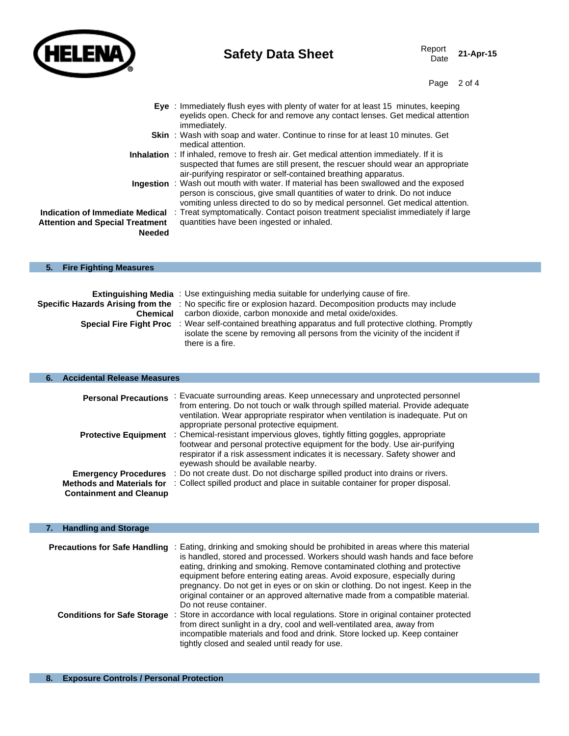

# **Safety Data Sheet** Report Report

Page 2 of 4

- **Eye** : Immediately flush eyes with plenty of water for at least 15 minutes, keeping eyelids open. Check for and remove any contact lenses. Get medical attention immediately. **Skin** : Wash with soap and water. Continue to rinse for at least 10 minutes. Get medical attention. **Inhalation** : If inhaled, remove to fresh air. Get medical attention immediately. If it is
	- suspected that fumes are still present, the rescuer should wear an appropriate air-purifying respirator or self-contained breathing apparatus.
	- **Ingestion** : Wash out mouth with water. If material has been swallowed and the exposed person is conscious, give small quantities of water to drink. Do not induce vomiting unless directed to do so by medical personnel. Get medical attention.

**Indication of Immediate Medical**  : Treat symptomatically. Contact poison treatment specialist immediately if large **Attention and Special Treatment Needed** quantities have been ingested or inhaled.

# **5. Fire Fighting Measures**

|                                | <b>Extinguishing Media</b> : Use extinguishing media suitable for underlying cause of fire.                  |
|--------------------------------|--------------------------------------------------------------------------------------------------------------|
|                                | Specific Hazards Arising from the : No specific fire or explosion hazard. Decomposition products may include |
| Chemical                       | carbon dioxide, carbon monoxide and metal oxide/oxides.                                                      |
| <b>Special Fire Fight Proc</b> | : Wear self-contained breathing apparatus and full protective clothing. Promptly                             |
|                                | isolate the scene by removing all persons from the vicinity of the incident if                               |
|                                | there is a fire.                                                                                             |

#### **6. Accidental Release Measures**

| <b>Personal Precautions</b>                                        | : Evacuate surrounding areas. Keep unnecessary and unprotected personnel<br>from entering. Do not touch or walk through spilled material. Provide adequate<br>ventilation. Wear appropriate respirator when ventilation is inadequate. Put on<br>appropriate personal protective equipment. |
|--------------------------------------------------------------------|---------------------------------------------------------------------------------------------------------------------------------------------------------------------------------------------------------------------------------------------------------------------------------------------|
| <b>Protective Equipment</b>                                        | : Chemical-resistant impervious gloves, tightly fitting goggles, appropriate<br>footwear and personal protective equipment for the body. Use air-purifying<br>respirator if a risk assessment indicates it is necessary. Safety shower and<br>eyewash should be available nearby.           |
| <b>Emergency Procedures</b>                                        | : Do not create dust. Do not discharge spilled product into drains or rivers.                                                                                                                                                                                                               |
| <b>Methods and Materials for</b><br><b>Containment and Cleanup</b> | : Collect spilled product and place in suitable container for proper disposal.                                                                                                                                                                                                              |

### **7. Handling and Storage**

| <b>Precautions for Safe Handling</b> | : Eating, drinking and smoking should be prohibited in areas where this material<br>is handled, stored and processed. Workers should wash hands and face before<br>eating, drinking and smoking. Remove contaminated clothing and protective<br>equipment before entering eating areas. Avoid exposure, especially during<br>pregnancy. Do not get in eyes or on skin or clothing. Do not ingest. Keep in the<br>original container or an approved alternative made from a compatible material.<br>Do not reuse container. |
|--------------------------------------|----------------------------------------------------------------------------------------------------------------------------------------------------------------------------------------------------------------------------------------------------------------------------------------------------------------------------------------------------------------------------------------------------------------------------------------------------------------------------------------------------------------------------|
| <b>Conditions for Safe Storage</b>   | : Store in accordance with local regulations. Store in original container protected<br>from direct sunlight in a dry, cool and well-ventilated area, away from<br>incompatible materials and food and drink. Store locked up. Keep container<br>tightly closed and sealed until ready for use.                                                                                                                                                                                                                             |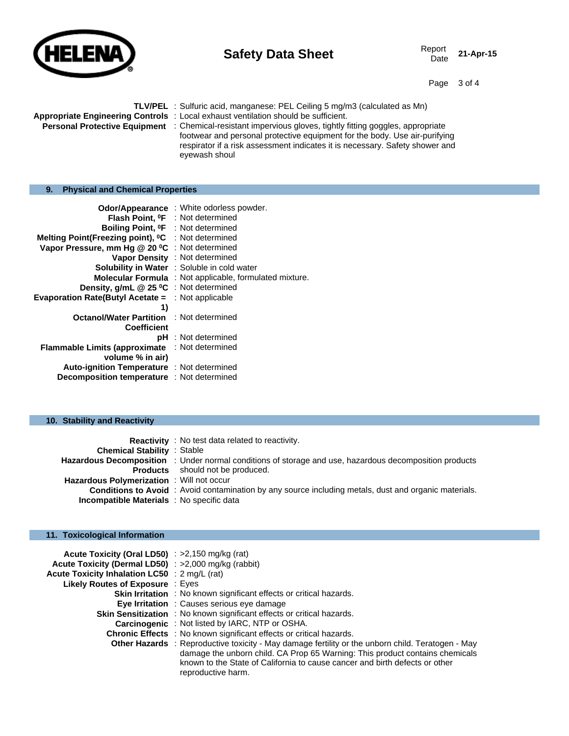

# **Safety Data Sheet** Report Report Date

21-Apr-15

Page 3 of 4

|                                                | <b>TLV/PEL</b> : Sulfuric acid, manganese: PEL Ceiling 5 mg/m3 (calculated as Mn)<br>Appropriate Engineering Controls : Local exhaust ventilation should be sufficient.<br><b>Personal Protective Equipment</b> : Chemical-resistant impervious gloves, tightly fitting goggles, appropriate<br>footwear and personal protective equipment for the body. Use air-purifying<br>respirator if a risk assessment indicates it is necessary. Safety shower and<br>eyewash shoul |
|------------------------------------------------|-----------------------------------------------------------------------------------------------------------------------------------------------------------------------------------------------------------------------------------------------------------------------------------------------------------------------------------------------------------------------------------------------------------------------------------------------------------------------------|
| <b>Physical and Chemical Properties</b><br>9.  |                                                                                                                                                                                                                                                                                                                                                                                                                                                                             |
| Boiling Point, <sup>o</sup> F : Not determined | Odor/Appearance : White odorless powder.<br><b>Flash Point, OF</b> : Not determined                                                                                                                                                                                                                                                                                                                                                                                         |

| Boiling Point, <sup>o</sup> F : Not determined                 |                                                                |
|----------------------------------------------------------------|----------------------------------------------------------------|
| Melting Point(Freezing point), <sup>o</sup> C : Not determined |                                                                |
| Vapor Pressure, mm Hg @ 20 °C : Not determined                 |                                                                |
|                                                                | Vapor Density : Not determined                                 |
|                                                                | <b>Solubility in Water</b> : Soluble in cold water             |
|                                                                | <b>Molecular Formula</b> : Not applicable, formulated mixture. |
| Density, g/mL @ 25 °C : Not determined                         |                                                                |
| <b>Evaporation Rate(Butyl Acetate = : Not applicable</b>       |                                                                |
| 1)                                                             |                                                                |
| <b>Octanol/Water Partition : Not determined</b>                |                                                                |
| <b>Coefficient</b>                                             |                                                                |
|                                                                | <b>pH</b> : Not determined                                     |
| <b>Flammable Limits (approximate)</b>                          | : Not determined                                               |
| volume % in air)                                               |                                                                |
| Auto-ignition Temperature : Not determined                     |                                                                |
| <b>Decomposition temperature</b> : Not determined              |                                                                |

#### **10. Stability and Reactivity**

|                                                  | <b>Reactivity</b> : No test data related to reactivity.                                                      |
|--------------------------------------------------|--------------------------------------------------------------------------------------------------------------|
| <b>Chemical Stability : Stable</b>               |                                                                                                              |
|                                                  | Hazardous Decomposition : Under normal conditions of storage and use, hazardous decomposition products       |
|                                                  | <b>Products</b> should not be produced.                                                                      |
| <b>Hazardous Polymerization</b> : Will not occur |                                                                                                              |
|                                                  | <b>Conditions to Avoid</b> : Avoid contamination by any source including metals, dust and organic materials. |
| <b>Incompatible Materials</b> : No specific data |                                                                                                              |

## **11. Toxicological Information**

| Acute Toxicity (Oral LD50) : $>2,150$ mg/kg (rat)    |                                                                                                                                                                                                                                                                                               |
|------------------------------------------------------|-----------------------------------------------------------------------------------------------------------------------------------------------------------------------------------------------------------------------------------------------------------------------------------------------|
| Acute Toxicity (Dermal LD50) : >2,000 mg/kg (rabbit) |                                                                                                                                                                                                                                                                                               |
| Acute Toxicity Inhalation LC50 : 2 mg/L (rat)        |                                                                                                                                                                                                                                                                                               |
| Likely Routes of Exposure: Eyes                      |                                                                                                                                                                                                                                                                                               |
|                                                      | <b>Skin Irritation</b> : No known significant effects or critical hazards.                                                                                                                                                                                                                    |
|                                                      | <b>Eye Irritation</b> : Causes serious eye damage                                                                                                                                                                                                                                             |
|                                                      | <b>Skin Sensitization</b> : No known significant effects or critical hazards.                                                                                                                                                                                                                 |
|                                                      | <b>Carcinogenic</b> : Not listed by IARC, NTP or OSHA.                                                                                                                                                                                                                                        |
|                                                      | <b>Chronic Effects</b> : No known significant effects or critical hazards.                                                                                                                                                                                                                    |
|                                                      | <b>Other Hazards</b> : Reproductive toxicity - May damage fertility or the unborn child. Teratogen - May<br>damage the unborn child. CA Prop 65 Warning: This product contains chemicals<br>known to the State of California to cause cancer and birth defects or other<br>reproductive harm. |